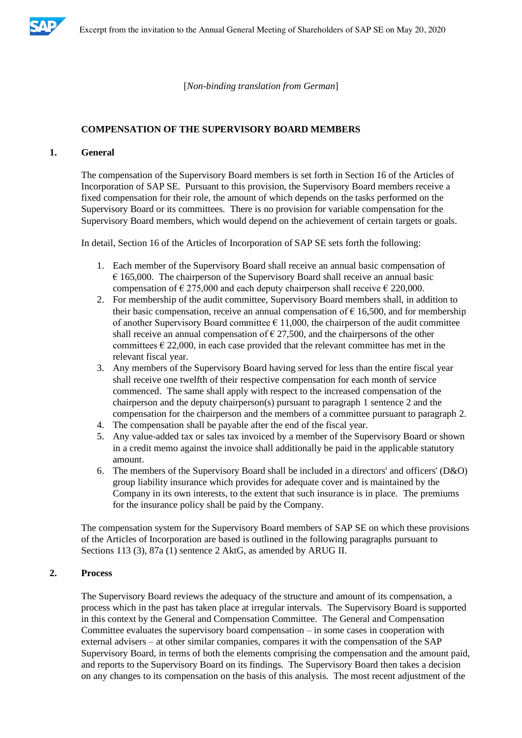

[*Non-binding translation from German*]

#### **COMPENSATION OF THE SUPERVISORY BOARD MEMBERS**

### **1. General**

The compensation of the Supervisory Board members is set forth in Section 16 of the Articles of Incorporation of SAP SE. Pursuant to this provision, the Supervisory Board members receive a fixed compensation for their role, the amount of which depends on the tasks performed on the Supervisory Board or its committees. There is no provision for variable compensation for the Supervisory Board members, which would depend on the achievement of certain targets or goals.

In detail, Section 16 of the Articles of Incorporation of SAP SE sets forth the following:

- 1. Each member of the Supervisory Board shall receive an annual basic compensation of  $\epsilon$  165,000. The chairperson of the Supervisory Board shall receive an annual basic compensation of  $\epsilon$  275,000 and each deputy chairperson shall receive  $\epsilon$  220,000.
- 2. For membership of the audit committee, Supervisory Board members shall, in addition to their basic compensation, receive an annual compensation of  $\epsilon$  16,500, and for membership of another Supervisory Board committee  $\epsilon$  11,000, the chairperson of the audit committee shall receive an annual compensation of  $\epsilon$  27,500, and the chairpersons of the other committees  $\epsilon$  22,000, in each case provided that the relevant committee has met in the relevant fiscal year.
- 3. Any members of the Supervisory Board having served for less than the entire fiscal year shall receive one twelfth of their respective compensation for each month of service commenced. The same shall apply with respect to the increased compensation of the chairperson and the deputy chairperson(s) pursuant to paragraph 1 sentence 2 and the compensation for the chairperson and the members of a committee pursuant to paragraph 2.
- 4. The compensation shall be payable after the end of the fiscal year.
- 5. Any value-added tax or sales tax invoiced by a member of the Supervisory Board or shown in a credit memo against the invoice shall additionally be paid in the applicable statutory amount.
- 6. The members of the Supervisory Board shall be included in a directors' and officers' (D&O) group liability insurance which provides for adequate cover and is maintained by the Company in its own interests, to the extent that such insurance is in place. The premiums for the insurance policy shall be paid by the Company.

The compensation system for the Supervisory Board members of SAP SE on which these provisions of the Articles of Incorporation are based is outlined in the following paragraphs pursuant to Sections 113 (3), 87a (1) sentence 2 AktG, as amended by ARUG II.

## **2. Process**

The Supervisory Board reviews the adequacy of the structure and amount of its compensation, a process which in the past has taken place at irregular intervals. The Supervisory Board is supported in this context by the General and Compensation Committee. The General and Compensation Committee evaluates the supervisory board compensation – in some cases in cooperation with external advisers – at other similar companies, compares it with the compensation of the SAP Supervisory Board, in terms of both the elements comprising the compensation and the amount paid, and reports to the Supervisory Board on its findings. The Supervisory Board then takes a decision on any changes to its compensation on the basis of this analysis. The most recent adjustment of the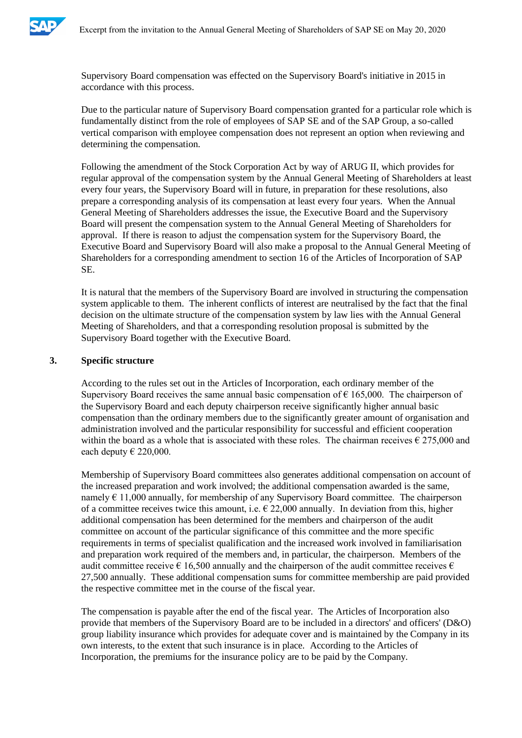

Supervisory Board compensation was effected on the Supervisory Board's initiative in 2015 in accordance with this process.

Due to the particular nature of Supervisory Board compensation granted for a particular role which is fundamentally distinct from the role of employees of SAP SE and of the SAP Group, a so-called vertical comparison with employee compensation does not represent an option when reviewing and determining the compensation.

Following the amendment of the Stock Corporation Act by way of ARUG II, which provides for regular approval of the compensation system by the Annual General Meeting of Shareholders at least every four years, the Supervisory Board will in future, in preparation for these resolutions, also prepare a corresponding analysis of its compensation at least every four years. When the Annual General Meeting of Shareholders addresses the issue, the Executive Board and the Supervisory Board will present the compensation system to the Annual General Meeting of Shareholders for approval. If there is reason to adjust the compensation system for the Supervisory Board, the Executive Board and Supervisory Board will also make a proposal to the Annual General Meeting of Shareholders for a corresponding amendment to section 16 of the Articles of Incorporation of SAP SE.

It is natural that the members of the Supervisory Board are involved in structuring the compensation system applicable to them. The inherent conflicts of interest are neutralised by the fact that the final decision on the ultimate structure of the compensation system by law lies with the Annual General Meeting of Shareholders, and that a corresponding resolution proposal is submitted by the Supervisory Board together with the Executive Board.

### **3. Specific structure**

According to the rules set out in the Articles of Incorporation, each ordinary member of the Supervisory Board receives the same annual basic compensation of  $\epsilon$  165,000. The chairperson of the Supervisory Board and each deputy chairperson receive significantly higher annual basic compensation than the ordinary members due to the significantly greater amount of organisation and administration involved and the particular responsibility for successful and efficient cooperation within the board as a whole that is associated with these roles. The chairman receives  $\epsilon$  275,000 and each deputy  $\in$  220,000.

Membership of Supervisory Board committees also generates additional compensation on account of the increased preparation and work involved; the additional compensation awarded is the same, namely  $\epsilon$  11,000 annually, for membership of any Supervisory Board committee. The chairperson of a committee receives twice this amount, i.e.  $\epsilon$  22,000 annually. In deviation from this, higher additional compensation has been determined for the members and chairperson of the audit committee on account of the particular significance of this committee and the more specific requirements in terms of specialist qualification and the increased work involved in familiarisation and preparation work required of the members and, in particular, the chairperson. Members of the audit committee receive  $\epsilon$  16,500 annually and the chairperson of the audit committee receives  $\epsilon$ 27,500 annually. These additional compensation sums for committee membership are paid provided the respective committee met in the course of the fiscal year.

The compensation is payable after the end of the fiscal year. The Articles of Incorporation also provide that members of the Supervisory Board are to be included in a directors' and officers' (D&O) group liability insurance which provides for adequate cover and is maintained by the Company in its own interests, to the extent that such insurance is in place. According to the Articles of Incorporation, the premiums for the insurance policy are to be paid by the Company.